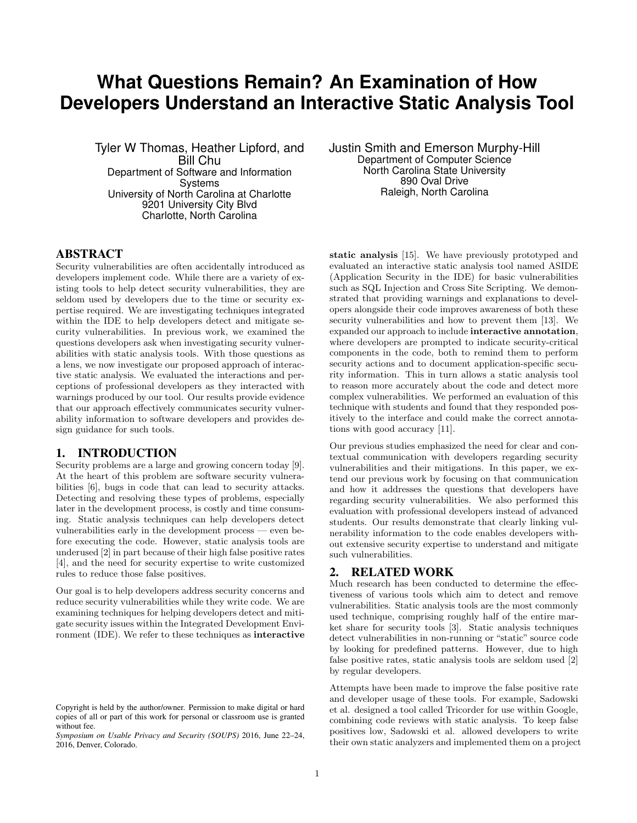# **What Questions Remain? An Examination of How Developers Understand an Interactive Static Analysis Tool**

Tyler W Thomas, Heather Lipford, and Bill Chu Department of Software and Information Systems University of North Carolina at Charlotte 9201 University City Blvd Charlotte, North Carolina

# ABSTRACT

Security vulnerabilities are often accidentally introduced as developers implement code. While there are a variety of existing tools to help detect security vulnerabilities, they are seldom used by developers due to the time or security expertise required. We are investigating techniques integrated within the IDE to help developers detect and mitigate security vulnerabilities. In previous work, we examined the questions developers ask when investigating security vulnerabilities with static analysis tools. With those questions as a lens, we now investigate our proposed approach of interactive static analysis. We evaluated the interactions and perceptions of professional developers as they interacted with warnings produced by our tool. Our results provide evidence that our approach effectively communicates security vulnerability information to software developers and provides design guidance for such tools.

### 1. INTRODUCTION

Security problems are a large and growing concern today [9]. At the heart of this problem are software security vulnerabilities [6], bugs in code that can lead to security attacks. Detecting and resolving these types of problems, especially later in the development process, is costly and time consuming. Static analysis techniques can help developers detect vulnerabilities early in the development process — even before executing the code. However, static analysis tools are underused [2] in part because of their high false positive rates [4], and the need for security expertise to write customized rules to reduce those false positives.

Our goal is to help developers address security concerns and reduce security vulnerabilities while they write code. We are examining techniques for helping developers detect and mitigate security issues within the Integrated Development Environment (IDE). We refer to these techniques as interactive Justin Smith and Emerson Murphy-Hill Department of Computer Science North Carolina State University 890 Oval Drive Raleigh, North Carolina

static analysis [15]. We have previously prototyped and evaluated an interactive static analysis tool named ASIDE (Application Security in the IDE) for basic vulnerabilities such as SQL Injection and Cross Site Scripting. We demonstrated that providing warnings and explanations to developers alongside their code improves awareness of both these security vulnerabilities and how to prevent them [13]. We expanded our approach to include interactive annotation, where developers are prompted to indicate security-critical components in the code, both to remind them to perform security actions and to document application-specific security information. This in turn allows a static analysis tool to reason more accurately about the code and detect more complex vulnerabilities. We performed an evaluation of this technique with students and found that they responded positively to the interface and could make the correct annotations with good accuracy [11].

Our previous studies emphasized the need for clear and contextual communication with developers regarding security vulnerabilities and their mitigations. In this paper, we extend our previous work by focusing on that communication and how it addresses the questions that developers have regarding security vulnerabilities. We also performed this evaluation with professional developers instead of advanced students. Our results demonstrate that clearly linking vulnerability information to the code enables developers without extensive security expertise to understand and mitigate such vulnerabilities.

# 2. RELATED WORK

Much research has been conducted to determine the effectiveness of various tools which aim to detect and remove vulnerabilities. Static analysis tools are the most commonly used technique, comprising roughly half of the entire market share for security tools [3]. Static analysis techniques detect vulnerabilities in non-running or "static" source code by looking for predefined patterns. However, due to high false positive rates, static analysis tools are seldom used [2] by regular developers.

Attempts have been made to improve the false positive rate and developer usage of these tools. For example, Sadowski et al. designed a tool called Tricorder for use within Google, combining code reviews with static analysis. To keep false positives low, Sadowski et al. allowed developers to write their own static analyzers and implemented them on a project

Copyright is held by the author/owner. Permission to make digital or hard copies of all or part of this work for personal or classroom use is granted without fee.

*Symposium on Usable Privacy and Security (SOUPS)* 2016, June 22–24, 2016, Denver, Colorado.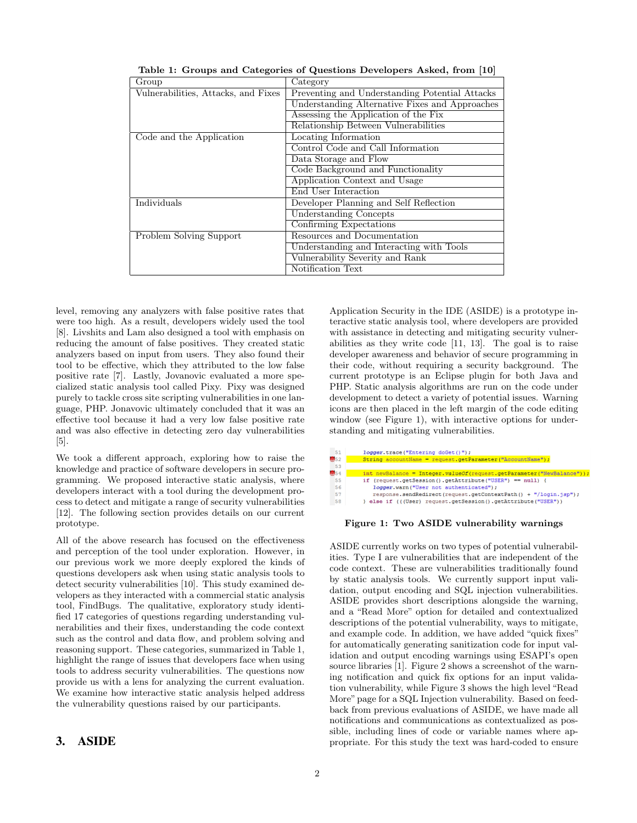| Group                               | Category                                       |
|-------------------------------------|------------------------------------------------|
| Vulnerabilities, Attacks, and Fixes | Preventing and Understanding Potential Attacks |
|                                     | Understanding Alternative Fixes and Approaches |
|                                     | Assessing the Application of the Fix           |
|                                     | Relationship Between Vulnerabilities           |
| Code and the Application            | Locating Information                           |
|                                     | Control Code and Call Information              |
|                                     | Data Storage and Flow                          |
|                                     | Code Background and Functionality              |
|                                     | Application Context and Usage                  |
|                                     | End User Interaction                           |
| Individuals                         | Developer Planning and Self Reflection         |
|                                     | Understanding Concepts                         |
|                                     | Confirming Expectations                        |
| Problem Solving Support             | Resources and Documentation                    |
|                                     | Understanding and Interacting with Tools       |
|                                     | Vulnerability Severity and Rank                |
|                                     | Notification Text                              |

Table 1: Groups and Categories of Questions Developers Asked, from [10]

level, removing any analyzers with false positive rates that were too high. As a result, developers widely used the tool [8]. Livshits and Lam also designed a tool with emphasis on reducing the amount of false positives. They created static analyzers based on input from users. They also found their tool to be effective, which they attributed to the low false positive rate [7]. Lastly, Jovanovic evaluated a more specialized static analysis tool called Pixy. Pixy was designed purely to tackle cross site scripting vulnerabilities in one language, PHP. Jonavovic ultimately concluded that it was an effective tool because it had a very low false positive rate and was also effective in detecting zero day vulnerabilities [5].

We took a different approach, exploring how to raise the knowledge and practice of software developers in secure programming. We proposed interactive static analysis, where developers interact with a tool during the development process to detect and mitigate a range of security vulnerabilities [12]. The following section provides details on our current prototype.

All of the above research has focused on the effectiveness and perception of the tool under exploration. However, in our previous work we more deeply explored the kinds of questions developers ask when using static analysis tools to detect security vulnerabilities [10]. This study examined developers as they interacted with a commercial static analysis tool, FindBugs. The qualitative, exploratory study identified 17 categories of questions regarding understanding vulnerabilities and their fixes, understanding the code context such as the control and data flow, and problem solving and reasoning support. These categories, summarized in Table 1, highlight the range of issues that developers face when using tools to address security vulnerabilities. The questions now provide us with a lens for analyzing the current evaluation. We examine how interactive static analysis helped address the vulnerability questions raised by our participants.

## 3. ASIDE

Application Security in the IDE (ASIDE) is a prototype interactive static analysis tool, where developers are provided with assistance in detecting and mitigating security vulnerabilities as they write code [11, 13]. The goal is to raise developer awareness and behavior of secure programming in their code, without requiring a security background. The current prototype is an Eclipse plugin for both Java and PHP. Static analysis algorithms are run on the code under development to detect a variety of potential issues. Warning icons are then placed in the left margin of the code editing window (see Figure 1), with interactive options for understanding and mitigating vulnerabilities.



Figure 1: Two ASIDE vulnerability warnings

ASIDE currently works on two types of potential vulnerabilities. Type I are vulnerabilities that are independent of the code context. These are vulnerabilities traditionally found by static analysis tools. We currently support input validation, output encoding and SQL injection vulnerabilities. ASIDE provides short descriptions alongside the warning, and a "Read More" option for detailed and contextualized descriptions of the potential vulnerability, ways to mitigate, and example code. In addition, we have added "quick fixes" for automatically generating sanitization code for input validation and output encoding warnings using ESAPI's open source libraries [1]. Figure 2 shows a screenshot of the warning notification and quick fix options for an input validation vulnerability, while Figure 3 shows the high level "Read More" page for a SQL Injection vulnerability. Based on feedback from previous evaluations of ASIDE, we have made all notifications and communications as contextualized as possible, including lines of code or variable names where appropriate. For this study the text was hard-coded to ensure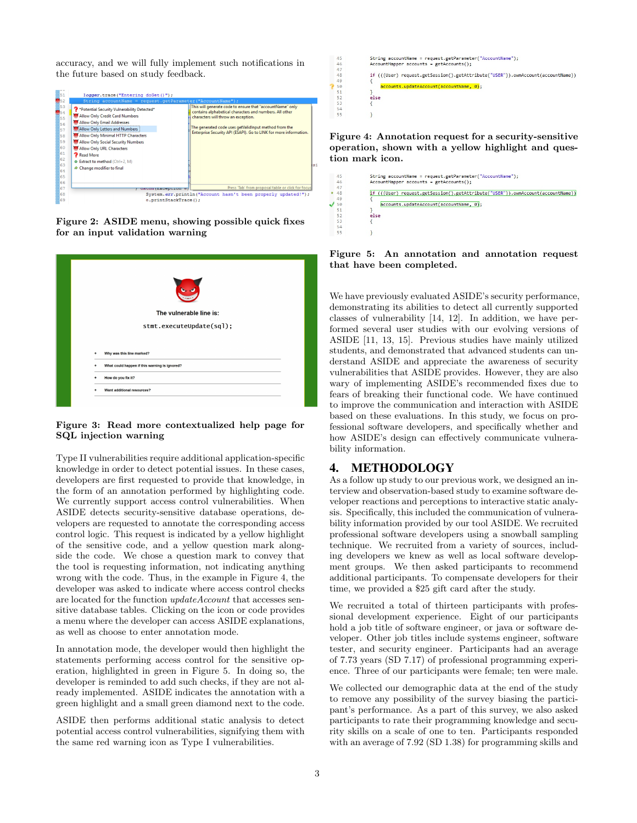accuracy, and we will fully implement such notifications in the future based on study feedback.



Figure 2: ASIDE menu, showing possible quick fixes for an input validation warning

| $\bullet$                                          |  |
|----------------------------------------------------|--|
| The vulnerable line is:                            |  |
| stmt.executeUpdate(sql);                           |  |
|                                                    |  |
| Why was this line marked?<br>٠                     |  |
| What could happen if this warning is ignored?<br>٠ |  |
| How do you fix it?<br>٠                            |  |
| Want additional resources?                         |  |
|                                                    |  |

#### Figure 3: Read more contextualized help page for SQL injection warning

Type II vulnerabilities require additional application-specific knowledge in order to detect potential issues. In these cases, developers are first requested to provide that knowledge, in the form of an annotation performed by highlighting code. We currently support access control vulnerabilities. When ASIDE detects security-sensitive database operations, developers are requested to annotate the corresponding access control logic. This request is indicated by a yellow highlight of the sensitive code, and a yellow question mark alongside the code. We chose a question mark to convey that the tool is requesting information, not indicating anything wrong with the code. Thus, in the example in Figure 4, the developer was asked to indicate where access control checks are located for the function updateAccount that accesses sensitive database tables. Clicking on the icon or code provides a menu where the developer can access ASIDE explanations, as well as choose to enter annotation mode.

In annotation mode, the developer would then highlight the statements performing access control for the sensitive operation, highlighted in green in Figure 5. In doing so, the developer is reminded to add such checks, if they are not already implemented. ASIDE indicates the annotation with a green highlight and a small green diamond next to the code.

ASIDE then performs additional static analysis to detect potential access control vulnerabilities, signifying them with the same red warning icon as Type I vulnerabilities.



Figure 4: Annotation request for a security-sensitive operation, shown with a yellow highlight and question mark icon.

|      | if (((User) request.getSession().getAttribute("USER")).ownAccount(accountName)) |  |
|------|---------------------------------------------------------------------------------|--|
|      | accounts.updateAccount(accountName, 0);                                         |  |
|      |                                                                                 |  |
| else |                                                                                 |  |
|      |                                                                                 |  |

Figure 5: An annotation and annotation request that have been completed.

We have previously evaluated ASIDE's security performance, demonstrating its abilities to detect all currently supported classes of vulnerability [14, 12]. In addition, we have performed several user studies with our evolving versions of ASIDE [11, 13, 15]. Previous studies have mainly utilized students, and demonstrated that advanced students can understand ASIDE and appreciate the awareness of security vulnerabilities that ASIDE provides. However, they are also wary of implementing ASIDE's recommended fixes due to fears of breaking their functional code. We have continued to improve the communication and interaction with ASIDE based on these evaluations. In this study, we focus on professional software developers, and specifically whether and how ASIDE's design can effectively communicate vulnerability information.

# 4. METHODOLOGY

45<br>46<br>47<br>48<br>49<br>50<br>51<br>52<br>55<br>54<br>5

As a follow up study to our previous work, we designed an interview and observation-based study to examine software developer reactions and perceptions to interactive static analysis. Specifically, this included the communication of vulnerability information provided by our tool ASIDE. We recruited professional software developers using a snowball sampling technique. We recruited from a variety of sources, including developers we knew as well as local software development groups. We then asked participants to recommend additional participants. To compensate developers for their time, we provided a \$25 gift card after the study.

We recruited a total of thirteen participants with professional development experience. Eight of our participants hold a job title of software engineer, or java or software developer. Other job titles include systems engineer, software tester, and security engineer. Participants had an average of 7.73 years (SD 7.17) of professional programming experience. Three of our participants were female; ten were male.

We collected our demographic data at the end of the study to remove any possibility of the survey biasing the participant's performance. As a part of this survey, we also asked participants to rate their programming knowledge and security skills on a scale of one to ten. Participants responded with an average of 7.92 (SD 1.38) for programming skills and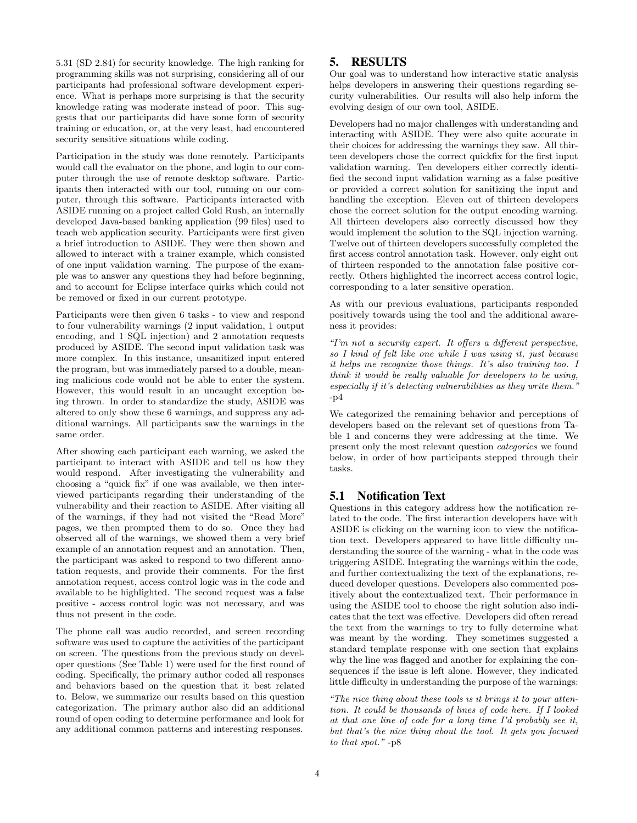5.31 (SD 2.84) for security knowledge. The high ranking for programming skills was not surprising, considering all of our participants had professional software development experience. What is perhaps more surprising is that the security knowledge rating was moderate instead of poor. This suggests that our participants did have some form of security training or education, or, at the very least, had encountered security sensitive situations while coding.

Participation in the study was done remotely. Participants would call the evaluator on the phone, and login to our computer through the use of remote desktop software. Participants then interacted with our tool, running on our computer, through this software. Participants interacted with ASIDE running on a project called Gold Rush, an internally developed Java-based banking application (99 files) used to teach web application security. Participants were first given a brief introduction to ASIDE. They were then shown and allowed to interact with a trainer example, which consisted of one input validation warning. The purpose of the example was to answer any questions they had before beginning, and to account for Eclipse interface quirks which could not be removed or fixed in our current prototype.

Participants were then given 6 tasks - to view and respond to four vulnerability warnings (2 input validation, 1 output encoding, and 1 SQL injection) and 2 annotation requests produced by ASIDE. The second input validation task was more complex. In this instance, unsanitized input entered the program, but was immediately parsed to a double, meaning malicious code would not be able to enter the system. However, this would result in an uncaught exception being thrown. In order to standardize the study, ASIDE was altered to only show these 6 warnings, and suppress any additional warnings. All participants saw the warnings in the same order.

After showing each participant each warning, we asked the participant to interact with ASIDE and tell us how they would respond. After investigating the vulnerability and choosing a "quick fix" if one was available, we then interviewed participants regarding their understanding of the vulnerability and their reaction to ASIDE. After visiting all of the warnings, if they had not visited the "Read More" pages, we then prompted them to do so. Once they had observed all of the warnings, we showed them a very brief example of an annotation request and an annotation. Then, the participant was asked to respond to two different annotation requests, and provide their comments. For the first annotation request, access control logic was in the code and available to be highlighted. The second request was a false positive - access control logic was not necessary, and was thus not present in the code.

The phone call was audio recorded, and screen recording software was used to capture the activities of the participant on screen. The questions from the previous study on developer questions (See Table 1) were used for the first round of coding. Specifically, the primary author coded all responses and behaviors based on the question that it best related to. Below, we summarize our results based on this question categorization. The primary author also did an additional round of open coding to determine performance and look for any additional common patterns and interesting responses.

#### 5. RESULTS

Our goal was to understand how interactive static analysis helps developers in answering their questions regarding security vulnerabilities. Our results will also help inform the evolving design of our own tool, ASIDE.

Developers had no major challenges with understanding and interacting with ASIDE. They were also quite accurate in their choices for addressing the warnings they saw. All thirteen developers chose the correct quickfix for the first input validation warning. Ten developers either correctly identified the second input validation warning as a false positive or provided a correct solution for sanitizing the input and handling the exception. Eleven out of thirteen developers chose the correct solution for the output encoding warning. All thirteen developers also correctly discussed how they would implement the solution to the SQL injection warning. Twelve out of thirteen developers successfully completed the first access control annotation task. However, only eight out of thirteen responded to the annotation false positive correctly. Others highlighted the incorrect access control logic, corresponding to a later sensitive operation.

As with our previous evaluations, participants responded positively towards using the tool and the additional awareness it provides:

"I'm not a security expert. It offers a different perspective, so I kind of felt like one while I was using it, just because it helps me recognize those things. It's also training too. I think it would be really valuable for developers to be using, especially if it's detecting vulnerabilities as they write them.'  $-n4$ 

We categorized the remaining behavior and perceptions of developers based on the relevant set of questions from Table 1 and concerns they were addressing at the time. We present only the most relevant question categories we found below, in order of how participants stepped through their tasks.

#### 5.1 Notification Text

Questions in this category address how the notification related to the code. The first interaction developers have with ASIDE is clicking on the warning icon to view the notification text. Developers appeared to have little difficulty understanding the source of the warning - what in the code was triggering ASIDE. Integrating the warnings within the code, and further contextualizing the text of the explanations, reduced developer questions. Developers also commented positively about the contextualized text. Their performance in using the ASIDE tool to choose the right solution also indicates that the text was effective. Developers did often reread the text from the warnings to try to fully determine what was meant by the wording. They sometimes suggested a standard template response with one section that explains why the line was flagged and another for explaining the consequences if the issue is left alone. However, they indicated little difficulty in understanding the purpose of the warnings:

"The nice thing about these tools is it brings it to your attention. It could be thousands of lines of code here. If I looked at that one line of code for a long time I'd probably see it, but that's the nice thing about the tool. It gets you focused to that spot." -p8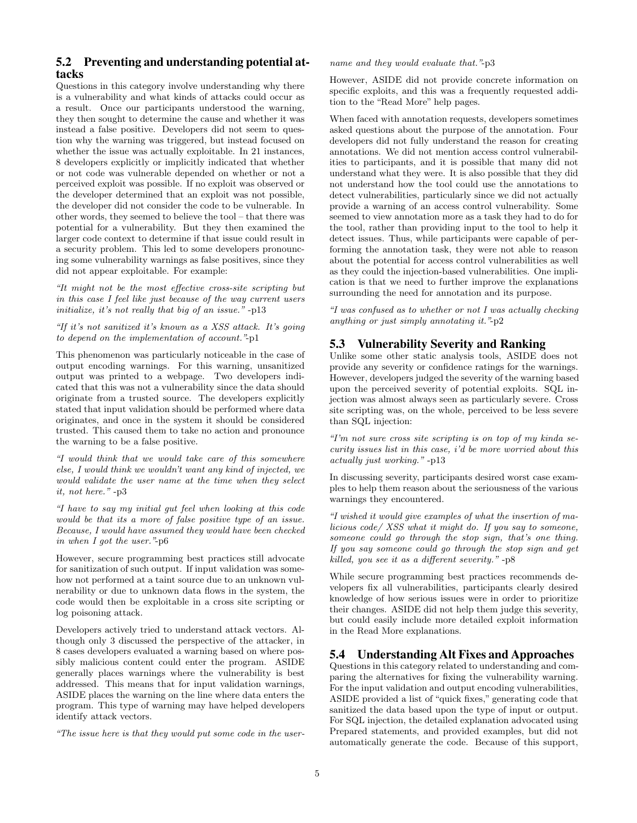# 5.2 Preventing and understanding potential attacks

Questions in this category involve understanding why there is a vulnerability and what kinds of attacks could occur as a result. Once our participants understood the warning, they then sought to determine the cause and whether it was instead a false positive. Developers did not seem to question why the warning was triggered, but instead focused on whether the issue was actually exploitable. In 21 instances, 8 developers explicitly or implicitly indicated that whether or not code was vulnerable depended on whether or not a perceived exploit was possible. If no exploit was observed or the developer determined that an exploit was not possible, the developer did not consider the code to be vulnerable. In other words, they seemed to believe the tool – that there was potential for a vulnerability. But they then examined the larger code context to determine if that issue could result in a security problem. This led to some developers pronouncing some vulnerability warnings as false positives, since they did not appear exploitable. For example:

"It might not be the most effective cross-site scripting but in this case I feel like just because of the way current users initialize, it's not really that big of an issue." -p13

"If it's not sanitized it's known as a XSS attack. It's going to depend on the implementation of account."-p1

This phenomenon was particularly noticeable in the case of output encoding warnings. For this warning, unsanitized output was printed to a webpage. Two developers indicated that this was not a vulnerability since the data should originate from a trusted source. The developers explicitly stated that input validation should be performed where data originates, and once in the system it should be considered trusted. This caused them to take no action and pronounce the warning to be a false positive.

"I would think that we would take care of this somewhere else, I would think we wouldn't want any kind of injected, we would validate the user name at the time when they select it, not here." -p3

"I have to say my initial gut feel when looking at this code would be that its a more of false positive type of an issue. Because, I would have assumed they would have been checked in when I got the user."-p6

However, secure programming best practices still advocate for sanitization of such output. If input validation was somehow not performed at a taint source due to an unknown vulnerability or due to unknown data flows in the system, the code would then be exploitable in a cross site scripting or log poisoning attack.

Developers actively tried to understand attack vectors. Although only 3 discussed the perspective of the attacker, in 8 cases developers evaluated a warning based on where possibly malicious content could enter the program. ASIDE generally places warnings where the vulnerability is best addressed. This means that for input validation warnings, ASIDE places the warning on the line where data enters the program. This type of warning may have helped developers identify attack vectors.

"The issue here is that they would put some code in the user-

name and they would evaluate that."-p3

However, ASIDE did not provide concrete information on specific exploits, and this was a frequently requested addition to the "Read More" help pages.

When faced with annotation requests, developers sometimes asked questions about the purpose of the annotation. Four developers did not fully understand the reason for creating annotations. We did not mention access control vulnerabilities to participants, and it is possible that many did not understand what they were. It is also possible that they did not understand how the tool could use the annotations to detect vulnerabilities, particularly since we did not actually provide a warning of an access control vulnerability. Some seemed to view annotation more as a task they had to do for the tool, rather than providing input to the tool to help it detect issues. Thus, while participants were capable of performing the annotation task, they were not able to reason about the potential for access control vulnerabilities as well as they could the injection-based vulnerabilities. One implication is that we need to further improve the explanations surrounding the need for annotation and its purpose.

"I was confused as to whether or not I was actually checking anything or just simply annotating it."-p2

## 5.3 Vulnerability Severity and Ranking

Unlike some other static analysis tools, ASIDE does not provide any severity or confidence ratings for the warnings. However, developers judged the severity of the warning based upon the perceived severity of potential exploits. SQL injection was almost always seen as particularly severe. Cross site scripting was, on the whole, perceived to be less severe than SQL injection:

"I'm not sure cross site scripting is on top of my kinda security issues list in this case, i'd be more worried about this actually just working." -p13

In discussing severity, participants desired worst case examples to help them reason about the seriousness of the various warnings they encountered.

"I wished it would give examples of what the insertion of malicious code/ XSS what it might do. If you say to someone, someone could go through the stop sign, that's one thing. If you say someone could go through the stop sign and get killed, you see it as a different severity." -p8

While secure programming best practices recommends developers fix all vulnerabilities, participants clearly desired knowledge of how serious issues were in order to prioritize their changes. ASIDE did not help them judge this severity, but could easily include more detailed exploit information in the Read More explanations.

# 5.4 Understanding Alt Fixes and Approaches

Questions in this category related to understanding and comparing the alternatives for fixing the vulnerability warning. For the input validation and output encoding vulnerabilities, ASIDE provided a list of "quick fixes," generating code that sanitized the data based upon the type of input or output. For SQL injection, the detailed explanation advocated using Prepared statements, and provided examples, but did not automatically generate the code. Because of this support,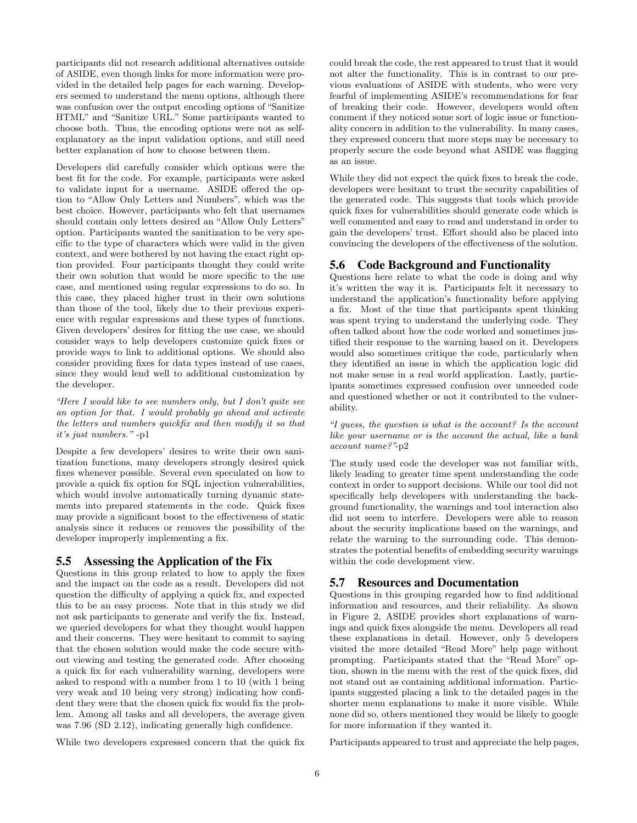participants did not research additional alternatives outside of ASIDE, even though links for more information were provided in the detailed help pages for each warning. Developers seemed to understand the menu options, although there was confusion over the output encoding options of "Sanitize HTML" and "Sanitize URL." Some participants wanted to choose both. Thus, the encoding options were not as selfexplanatory as the input validation options, and still need better explanation of how to choose between them.

Developers did carefully consider which options were the best fit for the code. For example, participants were asked to validate input for a username. ASIDE offered the option to "Allow Only Letters and Numbers", which was the best choice. However, participants who felt that usernames should contain only letters desired an "Allow Only Letters" option. Participants wanted the sanitization to be very specific to the type of characters which were valid in the given context, and were bothered by not having the exact right option provided. Four participants thought they could write their own solution that would be more specific to the use case, and mentioned using regular expressions to do so. In this case, they placed higher trust in their own solutions than those of the tool, likely due to their previous experience with regular expressions and these types of functions. Given developers' desires for fitting the use case, we should consider ways to help developers customize quick fixes or provide ways to link to additional options. We should also consider providing fixes for data types instead of use cases, since they would lend well to additional customization by the developer.

"Here I would like to see numbers only, but I don't quite see an option for that. I would probably go ahead and activate the letters and numbers quickfix and then modify it so that it's just numbers." -p1

Despite a few developers' desires to write their own sanitization functions, many developers strongly desired quick fixes whenever possible. Several even speculated on how to provide a quick fix option for SQL injection vulnerabilities, which would involve automatically turning dynamic statements into prepared statements in the code. Quick fixes may provide a significant boost to the effectiveness of static analysis since it reduces or removes the possibility of the developer improperly implementing a fix.

#### 5.5 Assessing the Application of the Fix

Questions in this group related to how to apply the fixes and the impact on the code as a result. Developers did not question the difficulty of applying a quick fix, and expected this to be an easy process. Note that in this study we did not ask participants to generate and verify the fix. Instead, we queried developers for what they thought would happen and their concerns. They were hesitant to commit to saying that the chosen solution would make the code secure without viewing and testing the generated code. After choosing a quick fix for each vulnerability warning, developers were asked to respond with a number from 1 to 10 (with 1 being very weak and 10 being very strong) indicating how confident they were that the chosen quick fix would fix the problem. Among all tasks and all developers, the average given was 7.96 (SD 2.12), indicating generally high confidence.

While two developers expressed concern that the quick fix

could break the code, the rest appeared to trust that it would not alter the functionality. This is in contrast to our previous evaluations of ASIDE with students, who were very fearful of implementing ASIDE's recommendations for fear of breaking their code. However, developers would often comment if they noticed some sort of logic issue or functionality concern in addition to the vulnerability. In many cases, they expressed concern that more steps may be necessary to properly secure the code beyond what ASIDE was flagging as an issue.

While they did not expect the quick fixes to break the code, developers were hesitant to trust the security capabilities of the generated code. This suggests that tools which provide quick fixes for vulnerabilities should generate code which is well commented and easy to read and understand in order to gain the developers' trust. Effort should also be placed into convincing the developers of the effectiveness of the solution.

## 5.6 Code Background and Functionality

Questions here relate to what the code is doing and why it's written the way it is. Participants felt it necessary to understand the application's functionality before applying a fix. Most of the time that participants spent thinking was spent trying to understand the underlying code. They often talked about how the code worked and sometimes justified their response to the warning based on it. Developers would also sometimes critique the code, particularly when they identified an issue in which the application logic did not make sense in a real world application. Lastly, participants sometimes expressed confusion over unneeded code and questioned whether or not it contributed to the vulnerability.

"I guess, the question is what is the account? Is the account like your username or is the account the actual, like a bank account name?"-p2

The study used code the developer was not familiar with, likely leading to greater time spent understanding the code context in order to support decisions. While our tool did not specifically help developers with understanding the background functionality, the warnings and tool interaction also did not seem to interfere. Developers were able to reason about the security implications based on the warnings, and relate the warning to the surrounding code. This demonstrates the potential benefits of embedding security warnings within the code development view.

# 5.7 Resources and Documentation

Questions in this grouping regarded how to find additional information and resources, and their reliability. As shown in Figure 2, ASIDE provides short explanations of warnings and quick fixes alongside the menu. Developers all read these explanations in detail. However, only 5 developers visited the more detailed "Read More" help page without prompting. Participants stated that the "Read More" option, shown in the menu with the rest of the quick fixes, did not stand out as containing additional information. Participants suggested placing a link to the detailed pages in the shorter menu explanations to make it more visible. While none did so, others mentioned they would be likely to google for more information if they wanted it.

Participants appeared to trust and appreciate the help pages,